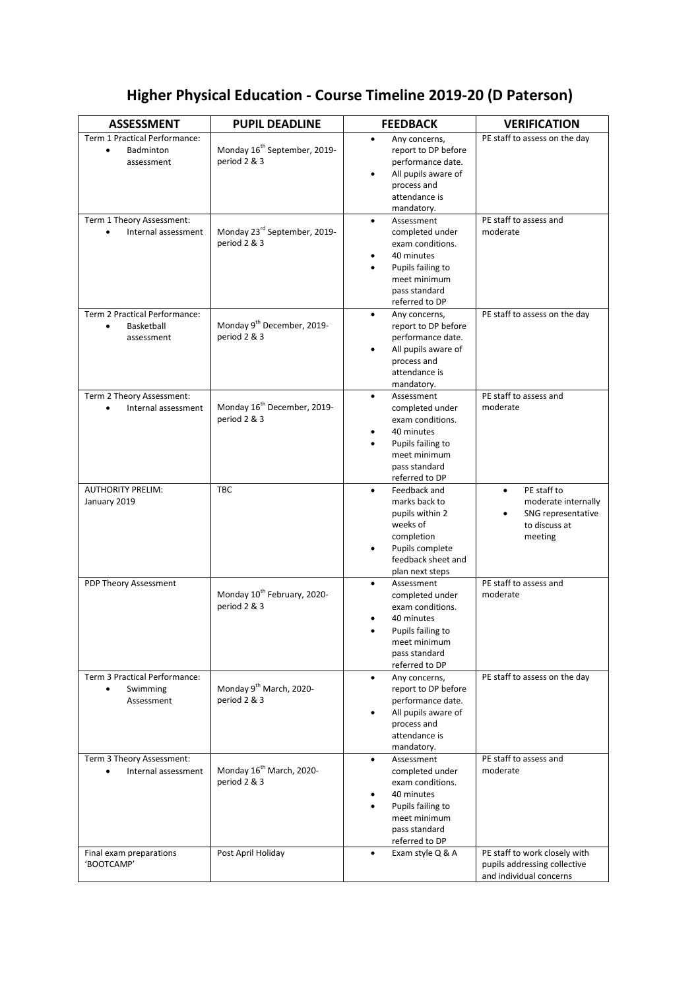## **Higher Physical Education - Course Timeline 2019-20 (D Paterson)**

| <b>ASSESSMENT</b>                                                      | <b>PUPIL DEADLINE</b>                                    | <b>FEEDBACK</b>                                                                                                                                      | <b>VERIFICATION</b>                                                                      |
|------------------------------------------------------------------------|----------------------------------------------------------|------------------------------------------------------------------------------------------------------------------------------------------------------|------------------------------------------------------------------------------------------|
| Term 1 Practical Performance:<br>Badminton<br>$\bullet$<br>assessment  | Monday 16 <sup>th</sup> September, 2019-<br>period 2 & 3 | Any concerns,<br>report to DP before<br>performance date.<br>All pupils aware of<br>process and<br>attendance is<br>mandatory.                       | PE staff to assess on the day                                                            |
| Term 1 Theory Assessment:<br>Internal assessment                       | Monday 23rd September, 2019-<br>period 2 & 3             | Assessment<br>$\bullet$<br>completed under<br>exam conditions.<br>40 minutes<br>Pupils failing to<br>meet minimum<br>pass standard<br>referred to DP | PE staff to assess and<br>moderate                                                       |
| Term 2 Practical Performance:<br>Basketball<br>$\bullet$<br>assessment | Monday 9 <sup>th</sup> December, 2019-<br>period 2 & 3   | Any concerns,<br>report to DP before<br>performance date.<br>All pupils aware of<br>process and<br>attendance is<br>mandatory.                       | PE staff to assess on the day                                                            |
| Term 2 Theory Assessment:<br>Internal assessment                       | Monday 16 <sup>th</sup> December, 2019-<br>period 2 & 3  | Assessment<br>$\bullet$<br>completed under<br>exam conditions.<br>40 minutes<br>Pupils failing to<br>meet minimum<br>pass standard<br>referred to DP | PE staff to assess and<br>moderate                                                       |
| <b>AUTHORITY PRELIM:</b><br>January 2019                               | <b>TBC</b>                                               | Feedback and<br>marks back to<br>pupils within 2<br>weeks of<br>completion<br>Pupils complete<br>feedback sheet and<br>plan next steps               | PE staff to<br>moderate internally<br>SNG representative<br>to discuss at<br>meeting     |
| PDP Theory Assessment                                                  | Monday 10 <sup>th</sup> February, 2020-<br>period 2 & 3  | Assessment<br>completed under<br>exam conditions.<br>40 minutes<br>Pupils failing to<br>meet minimum<br>pass standard<br>referred to DP              | PE staff to assess and<br>moderate                                                       |
| Term 3 Practical Performance:<br>Swimming<br>Assessment                | Monday 9 <sup>th</sup> March, 2020-<br>period 2 & 3      | Any concerns,<br>$\bullet$<br>report to DP before<br>performance date.<br>All pupils aware of<br>process and<br>attendance is<br>mandatory.          | PE staff to assess on the day                                                            |
| Term 3 Theory Assessment:<br>Internal assessment                       | Monday 16 <sup>th</sup> March, 2020-<br>period 2 & 3     | Assessment<br>$\bullet$<br>completed under<br>exam conditions.<br>40 minutes<br>Pupils failing to<br>meet minimum<br>pass standard<br>referred to DP | PE staff to assess and<br>moderate                                                       |
| Final exam preparations<br>'BOOTCAMP'                                  | Post April Holiday                                       | Exam style Q & A<br>$\bullet$                                                                                                                        | PE staff to work closely with<br>pupils addressing collective<br>and individual concerns |